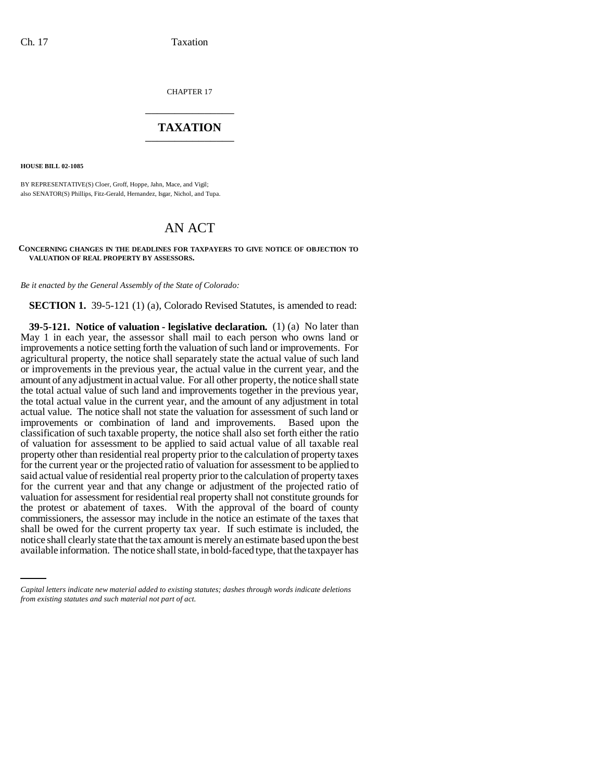CHAPTER 17 \_\_\_\_\_\_\_\_\_\_\_\_\_\_\_

## **TAXATION** \_\_\_\_\_\_\_\_\_\_\_\_\_\_\_

**HOUSE BILL 02-1085**

BY REPRESENTATIVE(S) Cloer, Groff, Hoppe, Jahn, Mace, and Vigil; also SENATOR(S) Phillips, Fitz-Gerald, Hernandez, Isgar, Nichol, and Tupa.

## AN ACT

## **CONCERNING CHANGES IN THE DEADLINES FOR TAXPAYERS TO GIVE NOTICE OF OBJECTION TO VALUATION OF REAL PROPERTY BY ASSESSORS.**

*Be it enacted by the General Assembly of the State of Colorado:*

**SECTION 1.** 39-5-121 (1) (a), Colorado Revised Statutes, is amended to read:

shall be owed for the current property tax year. If such estimate is included, the **39-5-121. Notice of valuation - legislative declaration.** (1) (a) No later than May 1 in each year, the assessor shall mail to each person who owns land or improvements a notice setting forth the valuation of such land or improvements. For agricultural property, the notice shall separately state the actual value of such land or improvements in the previous year, the actual value in the current year, and the amount of any adjustment in actual value. For all other property, the notice shall state the total actual value of such land and improvements together in the previous year, the total actual value in the current year, and the amount of any adjustment in total actual value. The notice shall not state the valuation for assessment of such land or improvements or combination of land and improvements. Based upon the improvements or combination of land and improvements. classification of such taxable property, the notice shall also set forth either the ratio of valuation for assessment to be applied to said actual value of all taxable real property other than residential real property prior to the calculation of property taxes for the current year or the projected ratio of valuation for assessment to be applied to said actual value of residential real property prior to the calculation of property taxes for the current year and that any change or adjustment of the projected ratio of valuation for assessment for residential real property shall not constitute grounds for the protest or abatement of taxes. With the approval of the board of county commissioners, the assessor may include in the notice an estimate of the taxes that notice shall clearly state that the tax amount is merely an estimate based upon the best available information. The notice shall state, in bold-faced type, that the taxpayer has

*Capital letters indicate new material added to existing statutes; dashes through words indicate deletions from existing statutes and such material not part of act.*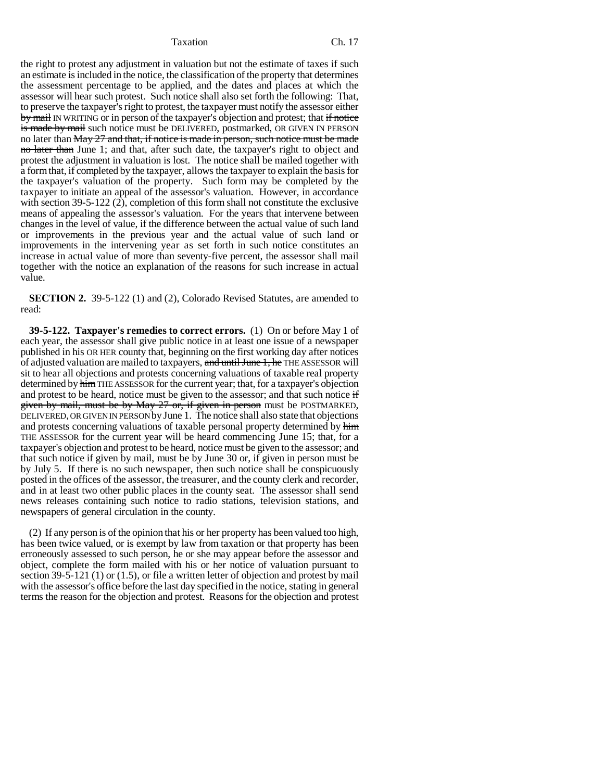Taxation Ch. 17

the right to protest any adjustment in valuation but not the estimate of taxes if such an estimate is included in the notice, the classification of the property that determines the assessment percentage to be applied, and the dates and places at which the assessor will hear such protest. Such notice shall also set forth the following: That, to preserve the taxpayer's right to protest, the taxpayer must notify the assessor either by mail IN WRITING or in person of the taxpayer's objection and protest; that if notice is made by mail such notice must be DELIVERED, postmarked, OR GIVEN IN PERSON no later than May 27 and that, if notice is made in person, such notice must be made no later than June 1; and that, after such date, the taxpayer's right to object and protest the adjustment in valuation is lost. The notice shall be mailed together with a form that, if completed by the taxpayer, allows the taxpayer to explain the basis for the taxpayer's valuation of the property. Such form may be completed by the taxpayer to initiate an appeal of the assessor's valuation. However, in accordance with section 39-5-122 (2), completion of this form shall not constitute the exclusive means of appealing the assessor's valuation. For the years that intervene between changes in the level of value, if the difference between the actual value of such land or improvements in the previous year and the actual value of such land or improvements in the intervening year as set forth in such notice constitutes an increase in actual value of more than seventy-five percent, the assessor shall mail together with the notice an explanation of the reasons for such increase in actual value.

**SECTION 2.** 39-5-122 (1) and (2), Colorado Revised Statutes, are amended to read:

**39-5-122. Taxpayer's remedies to correct errors.** (1) On or before May 1 of each year, the assessor shall give public notice in at least one issue of a newspaper published in his OR HER county that, beginning on the first working day after notices of adjusted valuation are mailed to taxpayers, and until June 1, he THE ASSESSOR will sit to hear all objections and protests concerning valuations of taxable real property determined by him THE ASSESSOR for the current year; that, for a taxpayer's objection and protest to be heard, notice must be given to the assessor; and that such notice if given by mail, must be by May 27 or, if given in person must be POSTMARKED, DELIVERED, OR GIVEN IN PERSON by June 1. The notice shall also state that objections and protests concerning valuations of taxable personal property determined by him THE ASSESSOR for the current year will be heard commencing June 15; that, for a taxpayer's objection and protest to be heard, notice must be given to the assessor; and that such notice if given by mail, must be by June 30 or, if given in person must be by July 5. If there is no such newspaper, then such notice shall be conspicuously posted in the offices of the assessor, the treasurer, and the county clerk and recorder, and in at least two other public places in the county seat. The assessor shall send news releases containing such notice to radio stations, television stations, and newspapers of general circulation in the county.

(2) If any person is of the opinion that his or her property has been valued too high, has been twice valued, or is exempt by law from taxation or that property has been erroneously assessed to such person, he or she may appear before the assessor and object, complete the form mailed with his or her notice of valuation pursuant to section 39-5-121 (1) or (1.5), or file a written letter of objection and protest by mail with the assessor's office before the last day specified in the notice, stating in general terms the reason for the objection and protest. Reasons for the objection and protest